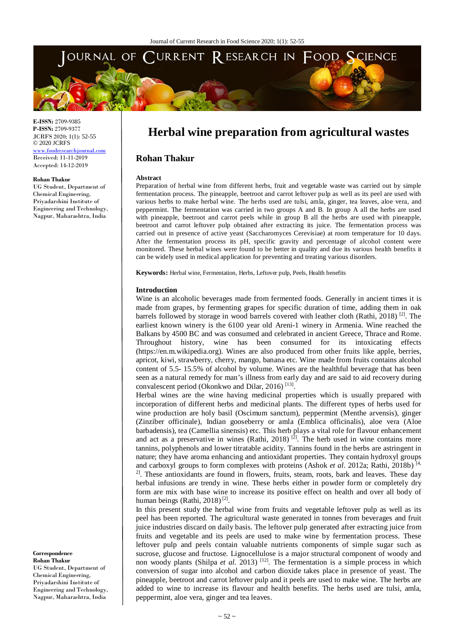

**E-ISSN:** 2709-9385 **P-ISSN:** 2709-9377 JCRFS 2020; 1(1): 52-55 © 2020 JCRFS www.foodresearchjournal.com Received: 11-11-2019 Accepted: 14-12-2019

#### **Rohan Thakur**

UG Student, Department of Chemical Engineering, Priyadarshini Institute of Engineering and Technology, Nagpur, Maharashtra, India

# **Herbal wine preparation from agricultural wastes**

# **Rohan Thakur**

#### **Abstract**

Preparation of herbal wine from different herbs, fruit and vegetable waste was carried out by simple fermentation process. The pineapple, beetroot and carrot leftover pulp as well as its peel are used with various herbs to make herbal wine. The herbs used are tulsi, amla, ginger, tea leaves, aloe vera, and peppermint. The fermentation was carried in two groups A and B. In group A all the herbs are used with pineapple, beetroot and carrot peels while in group B all the herbs are used with pineapple, beetroot and carrot leftover pulp obtained after extracting its juice. The fermentation process was carried out in presence of active yeast (Saccharomyces Cerevisiae) at room temperature for 10 days. After the fermentation process its pH, specific gravity and percentage of alcohol content were monitored. These herbal wines were found to be better in quality and due its various health benefits it can be widely used in medical application for preventing and treating various disorders.

**Keywords:** Herbal wine, Fermentation, Herbs, Leftover pulp, Peels, Health benefits

#### **Introduction**

Wine is an alcoholic beverages made from fermented foods. Generally in ancient times it is made from grapes, by fermenting grapes for specific duration of time, adding them in oak barrels followed by storage in wood barrels covered with leather cloth (Rathi, 2018)<sup>[2]</sup>. The earliest known winery is the 6100 year old Areni-1 winery in Armenia. Wine reached the Balkans by 4500 BC and was consumed and celebrated in ancient Greece, Thrace and Rome. Throughout history, wine has been consumed for its intoxicating effects (https://en.m.wikipedia.org). Wines are also produced from other fruits like apple, berries, apricot, kiwi, strawberry, cherry, mango, banana etc. Wine made from fruits contains alcohol content of 5.5- 15.5% of alcohol by volume. Wines are the healthful beverage that has been seen as a natural remedy for man's illness from early day and are said to aid recovery during convalescent period (Okonkwo and Dilar, 2016)<sup>[13]</sup>.

Herbal wines are the wine having medicinal properties which is usually prepared with incorporation of different herbs and medicinal plants. The different types of herbs used for wine production are holy basil (Oscimum sanctum), peppermint (Menthe arvensis), ginger (Zinziber officinale), Indian gooseberry or amla (Emblica officinalis), aloe vera (Aloe barbadensis), tea (Camellia sinensis) etc. This herb plays a vital role for flavour enhancement and act as a preservative in wines (Rathi, 2018)  $^{[2]}$ . The herb used in wine contains more tannins, polyphenols and lower titratable acidity. Tannins found in the herbs are astringent in nature; they have aroma enhancing and antioxidant properties. They contain hydroxyl groups and carboxyl groups to form complexes with proteins (Ashok *et al.* 2012a; Rathi, 2018b)<sup>[4,</sup> <sup>2]</sup>. These antioxidants are found in flowers, fruits, steam, roots, bark and leaves. These day herbal infusions are trendy in wine. These herbs either in powder form or completely dry form are mix with base wine to increase its positive effect on health and over all body of human beings (Rathi, 2018)<sup>[2]</sup>.

In this present study the herbal wine from fruits and vegetable leftover pulp as well as its peel has been reported. The agricultural waste generated in tonnes from beverages and fruit juice industries discard on daily basis. The leftover pulp generated after extracting juice from fruits and vegetable and its peels are used to make wine by fermentation process. These leftover pulp and peels contain valuable nutrients components of simple sugar such as sucrose, glucose and fructose. Lignocellulose is a major structural component of woody and non woody plants (Shilpa *et al.* 2013)<sup>[12]</sup>. The fermentation is a simple process in which conversion of sugar into alcohol and carbon dioxide takes place in presence of yeast. The pineapple, beetroot and carrot leftover pulp and it peels are used to make wine. The herbs are added to wine to increase its flavour and health benefits. The herbs used are tulsi, amla, peppermint, aloe vera, ginger and tea leaves.

**Correspondence Rohan Thakur** UG Student, Department of Chemical Engineering, Priyadarshini Institute of Engineering and Technology, Nagpur, Maharashtra, India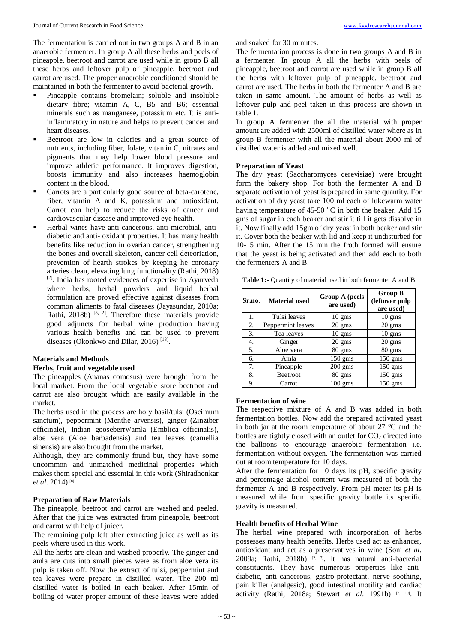The fermentation is carried out in two groups A and B in an anaerobic fermenter. In group A all these herbs and peels of pineapple, beetroot and carrot are used while in group B all these herbs and leftover pulp of pineapple, beetroot and carrot are used. The proper anaerobic conditioned should be maintained in both the fermenter to avoid bacterial growth.

- Pineapple contains bromelain; soluble and insoluble dietary fibre; vitamin A, C, B5 and B6; essential minerals such as manganese, potassium etc. It is antiinflammatory in nature and helps to prevent cancer and heart diseases.
- Beetroot are low in calories and a great source of nutrients, including fiber, folate, vitamin C, nitrates and pigments that may help lower blood pressure and improve athletic performance. It improves digestion, boosts immunity and also increases haemoglobin content in the blood.
- Carrots are a particularly good source of beta-carotene, fiber, vitamin A and K, potassium and antioxidant. Carrot can help to reduce the risks of cancer and cardiovascular disease and improved eye health.
- Herbal wines have anti-cancerous, anti-microbial, antidiabetic and anti- oxidant properties. It has many health benefits like reduction in ovarian cancer, strengthening the bones and overall skeleton, cancer cell deteoriation, prevention of hearth strokes by keeping he coronary arteries clean, elevating lung functionality (Rathi, 2018) [2]. India has rooted evidences of expertise in Ayurveda where herbs, herbal powders and liquid herbal formulation are proved effective against diseases from common aliments to fatal diseases (Jayasundar, 2010a; Rathi, 2018b)  $^{[3, 2]}$ . Therefore these materials provide good adjuncts for herbal wine production having various health benefits and can be used to prevent diseases (Okonkwo and Dilar, 2016) [13].

# **Materials and Methods**

#### **Herbs, fruit and vegetable used**

The pineapples (Ananas comosus) were brought from the local market. From the local vegetable store beetroot and carrot are also brought which are easily available in the market.

The herbs used in the process are holy basil/tulsi (Oscimum sanctum), peppermint (Menthe arvensis), ginger (Zinziber officinale), Indian gooseberry/amla (Emblica officinalis), aloe vera (Aloe barbadensis) and tea leaves (camellia sinensis) are also brought from the market.

Although, they are commonly found but, they have some uncommon and unmatched medicinal properties which makes them special and essential in this work (Shiradhonkar *et al.* 2014) [8].

## **Preparation of Raw Materials**

The pineapple, beetroot and carrot are washed and peeled. After that the juice was extracted from pineapple, beetroot and carrot with help of juicer.

The remaining pulp left after extracting juice as well as its peels where used in this work.

All the herbs are clean and washed properly. The ginger and amla are cuts into small pieces were as from aloe vera its pulp is taken off. Now the extract of tulsi, peppermint and tea leaves were prepare in distilled water. The 200 ml distilled water is boiled in each beaker. After 15min of boiling of water proper amount of these leaves were added and soaked for 30 minutes.

The fermentation process is done in two groups A and B in a fermenter. In group A all the herbs with peels of pineapple, beetroot and carrot are used while in group B all the herbs with leftover pulp of pineapple, beetroot and carrot are used. The herbs in both the fermenter A and B are taken in same amount. The amount of herbs as well as leftover pulp and peel taken in this process are shown in table 1.

In group A fermenter the all the material with proper amount are added with 2500ml of distilled water where as in group B fermenter with all the material about 2000 ml of distilled water is added and mixed well.

# **Preparation of Yeast**

The dry yeast (Saccharomyces cerevisiae) were brought form the bakery shop. For both the fermenter A and B separate activation of yeast is prepared in same quantity. For activation of dry yeast take 100 ml each of lukewarm water having temperature of 45-50 °C in both the beaker. Add 15 gms of sugar in each beaker and stir it till it gets dissolve in it. Now finally add 15gm of dry yeast in both beaker and stir it. Cover both the beaker with lid and keep it undisturbed for 10-15 min. After the 15 min the froth formed will ensure that the yeast is being activated and then add each to both the fermenters A and B.

**Table 1:-** Quantity of material used in both fermenter A and B

| Sr.no. | <b>Material used</b> | Group A (peels<br>are used) | <b>Group B</b><br>(leftover pulp<br>are used) |
|--------|----------------------|-----------------------------|-----------------------------------------------|
| 1.     | Tulsi leaves         | $10 \text{ gms}$            | $10 \text{ gms}$                              |
| 2.     | Peppermint leaves    | $20 \text{ gms}$            | $20 \text{ gms}$                              |
| 3.     | Tea leaves           | $10 \text{ gms}$            | $10 \text{ gms}$                              |
| 4.     | Ginger               | $20 \text{ gms}$            | $20 \text{ gms}$                              |
| 5.     | Aloe vera            | $80 \text{ gms}$            | $80 \text{ gms}$                              |
| 6.     | Amla                 | $150 \text{ gms}$           | $150 \text{ gms}$                             |
| 7.     | Pineapple            | $200 \text{ gms}$           | $150 \text{ gms}$                             |
| 8.     | Beetroot             | $80 \text{ gms}$            | $150 \text{ gms}$                             |
| 9.     | Carrot               | $100$ gms                   | $150$ gms                                     |

#### **Fermentation of wine**

The respective mixture of A and B was added in both fermentation bottles. Now add the prepared activated yeast in both jar at the room temperature of about 27 °C and the bottles are tightly closed with an outlet for  $CO<sub>2</sub>$  directed into the balloons to encourage anaerobic fermentation i.e. fermentation without oxygen. The fermentation was carried out at room temperature for 10 days.

After the fermentation for 10 days its pH, specific gravity and percentage alcohol content was measured of both the fermenter A and B respectively. From pH meter its pH is measured while from specific gravity bottle its specific gravity is measured.

# **Health benefits of Herbal Wine**

The herbal wine prepared with incorporation of herbs possesses many health benefits. Herbs used act as enhancer, antioxidant and act as a preservatives in wine (Soni *et al.* 2009a; Rathi, 2018b)  $[2, 7]$ . It has natural anti-bacterial constituents. They have numerous properties like antidiabetic, anti-cancerous, gastro-protectant, nerve soothing, pain killer (analgesic), good intestinal motility and cardiac activity (Rathi, 2018a; Stewart *et al.* 1991b) <sup>[2, 10]</sup>. It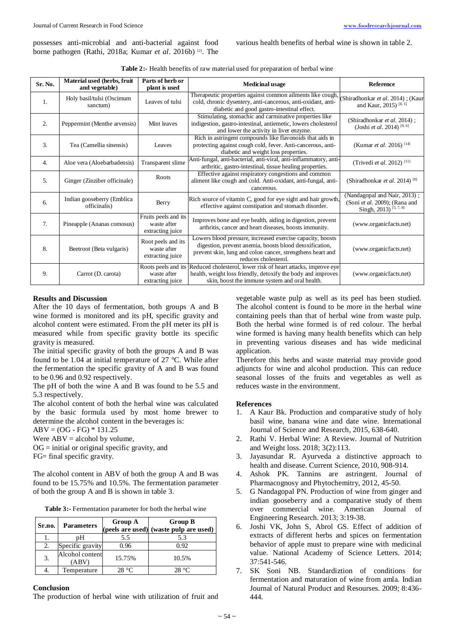possesses anti-microbial and anti-bacterial against food borne pathogen (Rathi, 2018a; Kumar *et al*. 2016b) [2]. The various health benefits of herbal wine is shown in table 2.

| <b>Table 2:</b> Health benefits of raw material used for preparation of herbal wine |  |  |
|-------------------------------------------------------------------------------------|--|--|
|-------------------------------------------------------------------------------------|--|--|

| Sr. No.          | Material used (herbs, fruit<br>and vegetable) | Parts of herb or<br>plant is used                       | <b>Medicinal usage</b>                                                                                                                                                                                      | <b>Reference</b>                                                                                   |
|------------------|-----------------------------------------------|---------------------------------------------------------|-------------------------------------------------------------------------------------------------------------------------------------------------------------------------------------------------------------|----------------------------------------------------------------------------------------------------|
| $\overline{1}$ . | Holy basil/tulsi (Oscimum<br>sanctum)         | Leaves of tulsi                                         | Therapeutic properties against common ailments like cough,<br>cold, chronic dysentery, anti-cancerous, anti-oxidant, anti-<br>diabetic and good gastro-intestinal effect.                                   | (Shiradhonkar et al. 2014); (Kaur<br>and Kaur, 2015) <sup>[8, 1]</sup>                             |
| 2.               | Peppermint (Menthe arvensis)                  | Mint leaves                                             | Stimulating, stomachic and carminative properties like<br>indigestion, gastro-intestinal, antiemetic, lowers cholesterol<br>and lower the activity in liver enzyme.                                         | (Shiradhonkar et al. 2014);<br>(Joshi et al. 2014) <sup>[8, 6]</sup>                               |
| 3.               | Tea (Camellia sinensis)                       | Leaves                                                  | Rich in astringent compounds like flavonoids that aids in<br>protecting against cough cold, fever. Anti-cancerous, anti-<br>diabetic and weight loss properties.                                            | (Kumar <i>et al.</i> 2016) <sup>[14]</sup>                                                         |
| 4.               | Aloe vera (Aloebarbadensis)                   | Transparent slime                                       | Anti-fungal, anti-bacterial, anti-viral, anti-inflammatory, anti-<br>arthritic, gastro-intestinal, tissue healing properties.                                                                               | (Trivedi <i>et al.</i> 2012) <sup>[11]</sup>                                                       |
| $\mathfrak{L}$   | Ginger (Zinziber officinale)                  | Roots                                                   | Effective against respiratory congestions and common<br>aliment like cough and cold. Anti-oxidant, anti-fungal, anti-<br>cancerous.                                                                         | (Shiradhonkar et al. 2014) <sup>[8]</sup>                                                          |
| 6.               | Indian gooseberry (Emblica<br>officinalis)    | Berry                                                   | Rich source of vitamin C, good for eye sight and hair growth,<br>effective against constipation and stomach disorder.                                                                                       | (Nandagopal and Nair, 2013);<br>(Soni et al. 2009); (Rana and<br>Singh, 2013) <sup>[5, 7, 9]</sup> |
| 7 <sub>1</sub>   | Pineapple (Ananas comosus)                    | Fruits peels and its<br>waste after<br>extracting juice | Improves bone and eye health, aiding in digestion, prevent<br>arthritis, cancer and heart diseases, boosts immunity.                                                                                        | (www.organicfacts.net)                                                                             |
| 8.               | Beetroot (Beta vulgaris)                      | Root peels and its<br>waste after<br>extracting juice   | Lowers blood pressure, increased exercise capacity, boosts<br>digestion, prevent anemia, boosts blood detoxification,<br>prevent skin, lung and colon cancer, strengthens heart and<br>reduces cholesterol. | (www.organicfacts.net)                                                                             |
| 9.               | Carrot (D. carota)                            | waste after<br>extracting juice                         | Roots peels and its Reduced cholesterol, lower risk of heart attacks, improve eye<br>health, weight loss friendly, detoxify the body and improves<br>skin, boost the immune system and oral health.         | (www.organicfacts.net)                                                                             |

### **Results and Discussion**

After the 10 days of fermentation, both groups A and B wine formed is monitored and its pH, specific gravity and alcohol content were estimated. From the pH meter its pH is measured while from specific gravity bottle its specific gravity is measured.

The initial specific gravity of both the groups A and B was found to be 1.04 at initial temperature of 27 °C. While after the fermentation the specific gravity of A and B was found to be 0.96 and 0.92 respectively.

The pH of both the wine A and B was found to be 5.5 and 5.3 respectively.

The alcohol content of both the herbal wine was calculated by the basic formula used by most home brewer to determine the alcohol content in the beverages is:

 $ABV = (OG - FG) * 131.25$ 

Were  $ABV =$  alcohol by volume,

 $OG = initial$  or original specific gravity, and

FG= final specific gravity.

The alcohol content in ABV of both the group A and B was found to be 15.75% and 10.5%. The fermentation parameter of both the group A and B is shown in table 3.

| Table 3:- Fermentation parameter for both the herbal wine |  |
|-----------------------------------------------------------|--|
|-----------------------------------------------------------|--|

| Sr.no. | <b>Parameters</b>        | Group A | <b>Group B</b><br>(peels are used) (waste pulp are used) |
|--------|--------------------------|---------|----------------------------------------------------------|
|        | pН                       | 5.5     | 5.3                                                      |
| 2.     | Specific gravity         | 0.96    | 0.92                                                     |
| 3.     | Alcohol content<br>(ABV) | 15.75%  | 10.5%                                                    |
|        | Temperature              | 28 °C   | 28 °C                                                    |

#### **Conclusion**

The production of herbal wine with utilization of fruit and

vegetable waste pulp as well as its peel has been studied. The alcohol content is found to be more in the herbal wine containing peels than that of herbal wine from waste pulp. Both the herbal wine formed is of red colour. The herbal wine formed is having many health benefits which can help in preventing various diseases and has wide medicinal application.

Therefore this herbs and waste material may provide good adjuncts for wine and alcohol production. This can reduce seasonal losses of the fruits and vegetables as well as reduces waste in the environment.

## **References**

- 1. A Kaur Bk. Production and comparative study of holy basil wine, banana wine and date wine. International Journal of Science and Research, 2015, 638-640.
- 2. Rathi V. Herbal Wine: A Review. Journal of Nutrition and Weight loss. 2018; 3(2):113.
- 3. Jayasundar R. Ayurveda a distinctive approach to health and disease. Current Science, 2010, 908-914.
- 4. Ashok PK. Tannins are astringent. Journal of Pharmacognosy and Phytochemitry, 2012, 45-50.
- 5. G Nandagopal PN. Production of wine from ginger and indian gooseberry and a comparative study of them over commercial wine. American Journal of Engineering Research. 2013; 3:19-38.
- 6. Joshi VK, John S, Abrol GS. Effect of addition of extracts of different herbs and spices on fermentation behavior of apple must to prepare wine with medicinal value. National Academy of Science Letters. 2014; 37:541-546.
- 7. SK Soni NB. Standardiztion of conditions for fermentation and maturation of wine from amla. Indian Journal of Natural Product and Resourses. 2009; 8:436- 444.